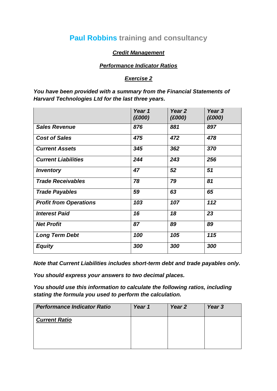## **Paul Robbins training and consultancy**

## *Credit Management*

## *Performance Indicator Ratios*

## *Exercise 2*

*You have been provided with a summary from the Financial Statements of Harvard Technologies Ltd for the last three years.*

|                               | Year 1<br>(E000) | Year <sub>2</sub><br>(E000) | Year 3<br>(E000) |
|-------------------------------|------------------|-----------------------------|------------------|
| <b>Sales Revenue</b>          | 876              | 881                         | 897              |
| <b>Cost of Sales</b>          | 475              | 472                         | 478              |
| <b>Current Assets</b>         | 345              | 362                         | 370              |
| <b>Current Liabilities</b>    | 244              | 243                         | 256              |
| <b>Inventory</b>              | 47               | 52                          | 51               |
| <b>Trade Receivables</b>      | 78               | 79                          | 81               |
| <b>Trade Payables</b>         | 59               | 63                          | 65               |
| <b>Profit from Operations</b> | 103              | 107                         | 112              |
| <b>Interest Paid</b>          | 16               | 18                          | 23               |
| <b>Net Profit</b>             | 87               | 89                          | 89               |
| <b>Long Term Debt</b>         | 100              | 105                         | 115              |
| <b>Equity</b>                 | 300              | 300                         | 300              |

*Note that Current Liabilities includes short-term debt and trade payables only.*

*You should express your answers to two decimal places.*

*You should use this information to calculate the following ratios, including stating the formula you used to perform the calculation.*

| <b>Performance Indicator Ratio</b> | Year 1 | Year <sub>2</sub> | Year 3 |
|------------------------------------|--------|-------------------|--------|
| <b>Current Ratio</b>               |        |                   |        |
|                                    |        |                   |        |